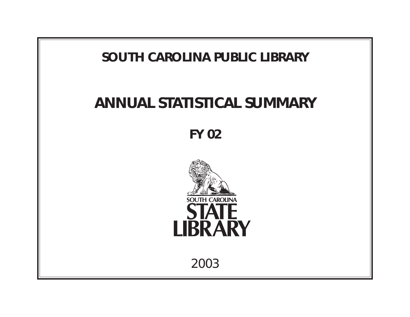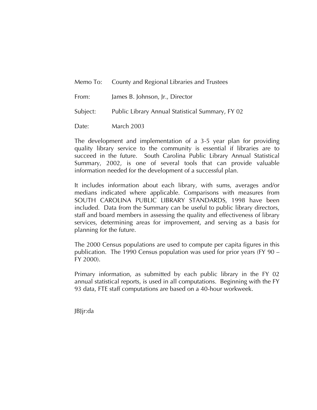|          | Memo To: County and Regional Libraries and Trustees |
|----------|-----------------------------------------------------|
| From:    | James B. Johnson, Jr., Director                     |
| Subject: | Public Library Annual Statistical Summary, FY 02    |
| Date:    | <b>March 2003</b>                                   |

The development and implementation of a 3-5 year plan for providing quality library service to the community is essential if libraries are to succeed in the future. South Carolina Public Library Annual Statistical Summary, 2002, is one of several tools that can provide valuable information needed for the development of a successful plan.

It includes information about each library, with sums, averages and/or medians indicated where applicable. Comparisons with measures from SOUTH CAROLINA PUBLIC LIBRARY STANDARDS, 1998 have been included. Data from the Summary can be useful to public library directors, staff and board members in assessing the quality and effectiveness of library services, determining areas for improvement, and serving as a basis for planning for the future.

The 2000 Census populations are used to compute per capita figures in this publication. The 1990 Census population was used for prior years (FY 90 – FY 2000).

Primary information, as submitted by each public library in the FY 02 annual statistical reports, is used in all computations. Beginning with the FY 93 data, FTE staff computations are based on a 40-hour workweek.

JBJjr:da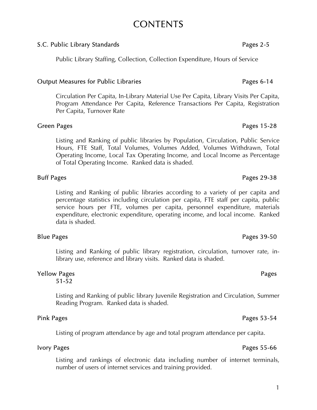# **CONTENTS**

# S.C. Public Library Standards **Pages 2-5** and  $\overline{P}$  Pages 2-5

Public Library Staffing, Collection, Collection Expenditure, Hours of Service

# Output Measures for Public Libraries **Pages 6-14** Pages 6-14

Circulation Per Capita, In-Library Material Use Per Capita, Library Visits Per Capita, Program Attendance Per Capita, Reference Transactions Per Capita, Registration Per Capita, Turnover Rate

# Green Pages 25-28

Listing and Ranking of public libraries by Population, Circulation, Public Service Hours, FTE Staff, Total Volumes, Volumes Added, Volumes Withdrawn, Total Operating Income, Local Tax Operating Income, and Local Income as Percentage of Total Operating Income. Ranked data is shaded.

# Buff Pages 29-38

 Listing and Ranking of public libraries according to a variety of per capita and percentage statistics including circulation per capita, FTE staff per capita, public service hours per FTE, volumes per capita, personnel expenditure, materials expenditure, electronic expenditure, operating income, and local income. Ranked data is shaded.

# Blue Pages 39-50

Listing and Ranking of public library registration, circulation, turnover rate, inlibrary use, reference and library visits. Ranked data is shaded.

#### Yellow Pages **Pages** Pages **Pages** 51-52

Listing and Ranking of public library Juvenile Registration and Circulation, Summer Reading Program. Ranked data is shaded.

# Pink Pages 53-54

Listing of program attendance by age and total program attendance per capita.

Listing and rankings of electronic data including number of internet terminals, number of users of internet services and training provided.

# Ivory Pages 55-66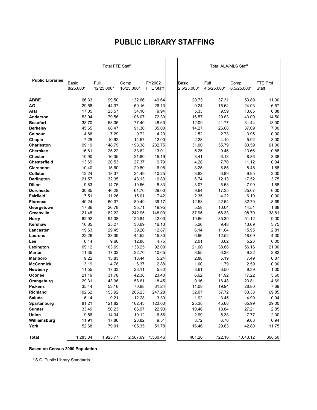# **PUBLIC LIBRARY STAFFING**

|                                     | <b>Total FTE Staff</b> |                    |                    |                     | <b>Total ALA/MLS Staff</b> |                     |                     |                    |
|-------------------------------------|------------------------|--------------------|--------------------|---------------------|----------------------------|---------------------|---------------------|--------------------|
| <b>Public Libraries</b>             | Basic<br>8/25,000*     | Full<br>12/25,000* | Comp<br>16/25,000* | FY2002<br>FTE Staff | Basic<br>2.5/25,000*       | Full<br>4.5/25,000* | Comp<br>6.5/25,000* | FTE Prof.<br>Staff |
| <b>ABBE</b>                         | 66.33                  | 99.50              | 132.66             | 49.64               | 20.73                      | 37.31               | 53.89               | 11.00              |
| AG                                  | 29.58                  | 44.37              | 59.16              | 26.13               | 9.24                       | 16.64               | 24.03               | 6.57               |
| <b>AHJ</b>                          | 17.05                  | 25.57              | 34.10              | 9.94                | 5.33                       | 9.59                | 13.85               | 0.88               |
| Anderson                            | 53.04                  | 79.56              | 106.07             | 72.30               | 16.57                      | 29.83               | 43.09               | 14.50              |
| <b>Beaufort</b>                     | 38.70                  | 58.05              | 77.40              | 48.60               | 12.09                      | 21.77               | 31.44               | 13.00              |
| <b>Berkeley</b>                     | 45.65                  | 68.47              | 91.30              | 35.00               | 14.27                      | 25.68               | 37.09               | 7.00               |
| Calhoun                             | 4.86                   | 7.29               | 9.72               | 4.20                | 1.52                       | 2.73                | 3.95                | 0.00               |
| Chapin                              | 7.28                   | 10.92              | 14.57              | 12.00               | 2.28                       | 4.10                | 5.92                | 3.00               |
| <b>Charleston</b>                   | 99.19                  | 148.79             | 198.38             | 232.75              | 31.00                      | 55.79               | 80.59               | 61.00              |
| <b>Cherokee</b>                     | 16.81                  | 25.22              | 33.62              | 13.01               | 5.25                       | 9.46                | 13.66               | 0.88               |
| <b>Chester</b>                      | 10.90                  | 16.35              | 21.80              | 15.19               | 3.41                       | 6.13                | 8.86                | 3.38               |
| <b>Chesterfield</b>                 | 13.69                  | 20.53              | 27.37              | 9.79                | 4.28                       | 7.70                | 11.12               | 0.94               |
| Clarendon                           | 10.40                  | 15.60              | 20.80              | 6.95                | 3.25                       | 5.85                | 8.45                | 1.88               |
| Colleton                            | 12.24                  | 18.37              | 24.49              | 10.25               | 3.83                       | 6.89                | 9.95                | 2.00               |
| <b>Darlington</b>                   | 21.57                  | 32.35              | 43.13              | 16.80               | 6.74                       | 12.13               | 17.52               | 3.75               |
| <b>Dillon</b>                       | 9.83                   | 14.75              | 19.66              | 8.83                | 3.07                       | 5.53                | 7.99                | 1.88               |
| <b>Dorchester</b>                   | 30.85                  | 46.28              | 61.70              | 29.00               | 9.64                       | 17.35               | 25.07               | 6.00               |
| <b>Fairfield</b>                    | 7.51                   | 11.26              | 15.01              | 7.42                | 2.35                       | 4.22                | 6.10                | 0.90               |
| <b>Florence</b>                     | 40.24                  | 60.37              | 80.49              | 39.17               | 12.58                      | 22.64               | 32.70               | 8.69               |
| Georgetown                          | 17.86                  | 26.78              | 35.71              | 19.95               | 5.58                       | 10.04               | 14.51               | 1.88               |
| Greenville                          | 121.48                 | 182.22             | 242.95             | 148.00              | 37.96                      | 68.33               | 98.70               | 38.81              |
| <b>Horry</b>                        | 62.92                  | 94.38              | 125.84             | 42.00               | 19.66                      | 35.39               | 51.12               | 9.00               |
| Kershaw                             | 16.85                  | 25.27              | 33.69              | 16.10               | 5.26                       | 9.48                | 13.69               | 3.75               |
| Lancaster                           | 19.63                  | 29.45              | 39.26              | 12.87               | 6.14                       | 11.04               | 15.95               | 2.81               |
| Laurens                             | 22.26                  | 33.39              | 44.52              | 15.80               | 6.96                       | 12.52               | 18.09               | 4.00               |
| Lee                                 | 6.44                   | 9.66               | 12.88              | 4.75                | 2.01                       | 3.62                | 5.23                | 0.00               |
| Lexington                           | 69.12                  | 103.69             | 138.25             | 92.00               | 21.60                      | 38.88               | 56.16               | 21.00              |
| <b>Marion</b>                       | 11.35                  | 17.02              | 22.70              | 10.65               | 3.55                       | 6.38                | 9.22                | 2.82               |
| <b>Marlboro</b>                     | 9.22<br>3.19           | 13.83<br>4.78      | 18.44<br>6.37      | 5.24<br>2.88        | 2.88<br>1.00               | 5.19<br>1.79        | 7.49<br>2.59        | 0.87               |
| <b>McCormick</b><br><b>Newberry</b> | 11.55                  | 17.33              | 23.11              | 5.80                | 3.61                       | 6.50                | 9.39                | 0.00<br>1.00       |
|                                     | 21.19                  | 31.78              | 42.38              | 23.40               | 6.62                       |                     | 17.22               | 5.60               |
| Oconee<br>Orangeburg                | 29.31                  | 43.96              | 58.61              | 18.45               | 9.16                       | 11.92<br>16.48      | 23.81               | 4.69               |
| <b>Pickens</b>                      | 35.44                  | 53.16              | 70.88              | 31.24               | 11.08                      | 19.94               | 28.80               | 7.69               |
| Richland                            | 102.62                 |                    | 205.23             |                     |                            |                     |                     |                    |
| Saluda                              | 6.14                   | 153.92<br>9.21     | 12.28              | 247.28<br>3.30      | 32.07<br>1.92              | 57.72<br>3.45       | 83.38<br>4.99       | 69.85<br>0.94      |
| Spartanburg                         | 81.21                  | 121.82             | 162.43             | 123.00              | 25.38                      | 45.68               | 65.99               | 29.00              |
| <b>Sumter</b>                       | 33.49                  | 50.23              | 66.97              | 22.93               | 10.46                      | 18.84               | 27.21               | 2.85               |
| Union                               | 9.56                   | 14.34              | 19.12              | 6.56                | 2.99                       | 5.38                | 7.77                | 2.00               |
| Williamsburg                        | 11.91                  | 17.86              | 23.82              | 9.51                | 3.72                       | 6.70                | 9.68                | 0.94               |
| York                                | 52.68                  | 79.01              | 105.35             | 51.78               | 16.46                      | 29.63               | 42.80               | 11.75              |
|                                     |                        |                    |                    |                     |                            |                     |                     |                    |
| <b>Total</b>                        | 1,283.84               | 1,925.77           | 2,567.69           | 1,560.46            | 401.20                     | 722.16              | 1,043.12            | 368.50             |

**Based on Census 2000 Population**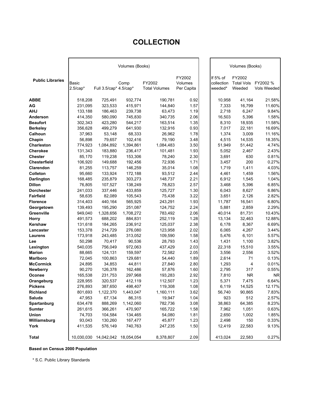# **COLLECTION**

|                         |            |                        | Volumes (Books) |                      |            |            | Volumes (Books)   |             |
|-------------------------|------------|------------------------|-----------------|----------------------|------------|------------|-------------------|-------------|
|                         |            |                        |                 |                      | FY2002     | If 5% of   | FY2002            |             |
| <b>Public Libraries</b> | Basic      |                        | Comp            | FY2002               | Volumes    | collection | <b>Total Vols</b> | FY2002 %    |
|                         | $2.5/cap*$ | Full 3.5/cap* 4.5/cap* |                 | <b>Total Volumes</b> | Per Capita | weeded*    | Weeded            | Vols Weeded |
| <b>ABBE</b>             | 518,208    | 725,491                | 932,774         | 190,781              | 0.92       | 10,958     | 41,164            | 21.58%      |
| AG                      | 231,095    | 323,533                | 415,971         | 144,840              | 1.57       | 7,333      | 16,799            | 11.60%      |
| <b>AHJ</b>              | 133,188    | 186,463                | 239,738         | 63,473               | 1.19       | 2,718      | 6,247             | 9.84%       |
| Anderson                | 414,350    | 580,090                | 745,830         | 340,735              | 2.06       | 16,503     | 5,396             | 1.58%       |
| <b>Beaufort</b>         | 302,343    | 423,280                | 544,217         | 163,514              | 1.35       | 8,310      | 18,935            | 11.58%      |
| <b>Berkeley</b>         | 356,628    | 499,279                | 641,930         | 132,916              | 0.93       | 7,017      | 22,181            | 16.69%      |
| Calhoun                 | 37,963     | 53,148                 | 68,333          | 26,962               | 1.78       | 1,374      | 3,009             | 11.16%      |
| Chapin                  | 56,898     | 79,657                 | 102,416         | 79,190               | 3.48       | 4,515      | 14,535            | 18.35%      |
| <b>Charleston</b>       | 774,923    | 1,084,892              | 1,394,861       | 1,084,483            | 3.50       | 51,949     | 51,442            | 4.74%       |
| <b>Cherokee</b>         | 131,343    | 183,880                | 236,417         | 101,481              | 1.93       | 5,052      | 2,467             | 2.43%       |
| <b>Chester</b>          | 85,170     | 119,238                | 153,306         | 78,240               | 2.30       | 3,691      | 630               | 0.81%       |
| <b>Chesterfield</b>     | 106,920    | 149,688                | 192,456         | 72,936               | 1.71       | 3,457      | 200               | 0.27%       |
| Clarendon               | 81,255     | 113,757                | 146,259         | 35,014               | 1.08       | 1,719      | 1,411             | 4.03%       |
| Colleton                | 95,660     | 133,924                | 172,188         | 93,512               | 2.44       | 4,461      | 1,459             | 1.56%       |
| <b>Darlington</b>       | 168,485    | 235,879                | 303,273         | 148,737              | 2.21       | 6,912      | 1,545             | 1.04%       |
| <b>Dillon</b>           | 76,805     | 107,527                | 138,249         | 78,823               | 2.57       | 3.468      | 5,396             | 6.85%       |
| <b>Dorchester</b>       | 241,033    | 337,446                | 433,859         | 125.727              | 1.30       | 6,043      | 8,627             | 6.86%       |
| <b>Fairfield</b>        | 58,635     | 82,089                 | 105,543         | 75,438               | 3.22       | 3,651      | 2,126             | 2.82%       |
| <b>Florence</b>         | 314,403    | 440,164                | 565,925         | 243,291              | 1.93       | 11,787     | 16,541            | 6.80%       |
| Georgetown              | 139,493    | 195,290                | 251,087         | 124,752              | 2.24       | 5,881      | 2,859             | 2.29%       |
| Greenville              | 949,040    | 1,328,656              | 1,708,272       | 783,492              | 2.06       | 40,014     | 81,731            | 10.43%      |
| <b>Horry</b>            | 491,573    | 688,202                | 884,831         | 252,119              | 1.28       | 13,134     | 32,463            | 12.88%      |
| <b>Kershaw</b>          | 131,618    | 184,265                | 236,912         | 125,037              | 2.38       | 6,178      | 8,367             | 6.69%       |
| Lancaster               | 153,378    | 214,729                | 276,080         | 123,958              | 2.02       | 6,065      | 4,267             | 3.44%       |
| Laurens                 | 173,918    | 243,485                | 313,052         | 109,590              | 1.58       | 5,476      | 6,101             | 5.57%       |
| Lee                     | 50,298     | 70,417                 | 90,536          | 28,793               | 1.43       | 1,431      | 1,100             | 3.82%       |
| Lexington               | 540,035    | 756,049                | 972,063         | 437,429              | 2.03       | 22,318     | 15,510            | 3.55%       |
| <b>Marion</b>           | 88,665     | 124,131                | 159,597         | 72,582               | 2.05       | 3,556      | 2,556             | 3.52%       |
| <b>Marlboro</b>         | 72,045     | 100,863                | 129,681         | 54,440               | 1.89       | 2,614      | 71                | 0.13%       |
| <b>McCormick</b>        | 24,895     | 34,853                 | 44,811          | 27,840               | 2.80       | 1,293      | 4                 | 0.01%       |
| <b>Newberry</b>         | 90,270     | 126,378                | 162,486         | 57,876               | 1.60       | 2,795      | 317               | 0.55%       |
| Oconee                  | 165,538    | 231,753                | 297,968         | 193,283              | 2.92       | 7,810      | <b>NR</b>         | <b>NR</b>   |
| Orangeburg              | 228,955    | 320,537                | 412,119         | 112,507              | 1.23       | 5,371      | 7,475             | 6.64%       |
| <b>Pickens</b>          | 276,893    | 387,650                | 498,407         | 119,308              | 1.08       | 6,119      | 14,525            | 12.17%      |
| <b>Richland</b>         | 801,693    | 1,122,370              | 1,443,047       | 1,160,111            | 3.62       | 56,740     | 90,865            | 7.83%       |
| Saluda                  | 47,953     | 67,134                 | 86,315          | 19,947               | 1.04       | 923        | 512               | 2.57%       |
| Spartanburg             | 634,478    | 888,269                | 1,142,060       | 782,736              | 3.08       | 38,863     | 64,385            | 8.23%       |
| <b>Sumter</b>           | 261,615    | 366,261                | 470,907         | 165,722              | 1.58       | 7,962      | 1,051             | 0.63%       |
| Union                   | 74,703     | 104,584                | 134,465         | 54,080               | 1.81       | 2,650      | 1,002             | 1.85%       |
| Williamsburg            | 93,043     | 130,260                | 167,477         | 45,877               | 1.23       | 2,498      | 150               | 0.33%       |
| York                    | 411,535    | 576,149                | 740,763         | 247,235              | 1.50       | 12,419     | 22,583            | 9.13%       |
| <b>Total</b>            | 10,030,030 | 14,042,042             | 18,054,054      | 8,378,807            | 2.09       | 413,024    | 22,583            | 0.27%       |

**Based on Census 2000 Population**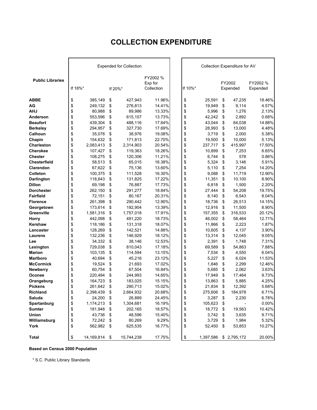# **COLLECTION EXPENDITURE**

|                                  |          |                   |          | <b>Expended for Collection</b> |                     |          |                |          | Collection Expenditure for AV |                 |
|----------------------------------|----------|-------------------|----------|--------------------------------|---------------------|----------|----------------|----------|-------------------------------|-----------------|
| <b>Public Libraries</b>          |          |                   |          |                                | FY2002 %<br>Exp for |          |                |          | FY2002                        | FY2002 %        |
|                                  | If 18%*  |                   |          | If 20%*                        | Collection          | If 10%*  |                |          | Expended                      | Expended        |
| <b>ABBE</b>                      | \$       | 385,149           | \$       | 427,943                        | 11.96%              | \$       | 25,591         | \$       | 47,235                        | 18.46%          |
| AG                               | \$       | 249,132           | \$       | 276,813                        | 14.41%              | \$       | 19,949         | \$       | 9,114                         | 4.57%           |
| <b>AHJ</b>                       | \$       | 80,988            | \$       | 89,986                         | 13.33%              | \$       | 5,996          | \$       | 1,276                         | 2.13%           |
| Anderson                         | \$       | 553,596           | \$       | 615,107                        | 13.73%              | \$       | 42,242         | \$       | 2,892                         | 0.68%           |
| <b>Beaufort</b>                  | \$       | 439,304           | \$       | 488,116                        | 17.64%              | \$       | 43,044         | \$       | 64,038                        | 14.88%          |
| <b>Berkeley</b>                  | \$       | 294,957           | \$       | 327,730                        | 17.69%              | \$       | 28,993         | \$       | 13,000                        | 4.48%           |
| Calhoun                          | \$       | 35,078            | \$       | 38,976                         | 19.08%              | \$       | 3,719          | \$       | 2,000                         | 5.38%           |
| Chapin                           | \$       | 154,632           | \$       | 171,813                        | 22.70%              | \$       | 19,500         | \$       | 10,000                        | 5.13%           |
| Charleston                       | \$       | 2,083,413         | \$       | 2,314,903                      | 20.54%              | \$       | 237,717        | \$       | 415,997                       | 17.50%          |
| <b>Cherokee</b>                  | \$       | 107,427           | \$       | 119,363                        | 18.26%              | \$       | 10,899         | \$       | 7,253                         | 6.65%           |
| <b>Chester</b>                   | \$       | 108,275           | \$       | 120,306                        | 11.21%              | \$       | 6,744          | \$       | 578                           | 0.86%           |
| <b>Chesterfield</b>              | \$       | 58,513            | \$       | 65,015                         | 16.38%              | \$       | 5,324          | \$       | 3,146                         | 5.91%           |
| Clarendon                        | \$       | 67,622            | \$       | 75,136                         | 13.60%              | \$       | 5,110          | \$       | 7,254                         | 14.20%          |
| <b>Colleton</b>                  | \$       | 100,375           | \$       | 111,528                        | 16.30%              | \$       | 9,088          | \$       | 11,719                        | 12.90%          |
| <b>Darlington</b>                | \$       | 118,643           | \$       | 131,825                        | 17.22%              | \$       | 11,351         | \$       | 10,100                        | 8.90%           |
| <b>Dillon</b>                    | \$       | 69,198            | \$       | 76,887                         | 17.73%              | \$       | 6,818          | \$       | 1,500                         | 2.20%           |
| <b>Dorchester</b>                | \$       | 262,150           | \$       | 291,277                        | 18.84%              | \$       | 27,444         | \$       | 54,208                        | 19.75%          |
| <b>Fairfield</b>                 | \$       | 72,151            | \$       | 80,167                         | 20.31%              | \$       | 8,140          | \$       | 6,543                         | 8.04%           |
| <b>Florence</b>                  | \$       | 261,398           | \$       | 290,442                        | 12.90%              | \$       | 18,736         | \$       | 26,513                        | 14.15%          |
| Georgetown                       | \$       | 173,614           | \$       | 192,904                        | 13.39%              | \$       | 12,916         | \$       | 11,500                        | 8.90%           |
| Greenville                       | \$       | 1,581,316         | \$       | 1,757,018                      | 17.91%              | \$       | 157,355        | \$       | 316,533                       | 20.12%          |
| Horry                            | \$       | 442,098           | \$       | 491,220                        | 18.73%              | \$       | 46,002         | \$       | 58,464                        | 12.71%          |
| <b>Kershaw</b>                   | \$       | 118,186           | \$       | 131,318                        | 18.07%              | \$       | 11,866         | \$       | 2,223                         | 1.87%           |
| Lancaster                        | \$       | 128,269           | \$       | 142,521                        | 14.88%              | \$       | 10,605         | \$       | 4,137                         | 3.90%           |
| Laurens                          | \$       | 132,236           | \$       | 146,929                        | 18.12%              | \$       | 13,314         | \$       | 12,045                        | 9.05%           |
| Lee                              | \$       | 34,332            | \$       | 38,146                         | 12.53%              | \$       | 2,391          | \$       | 1,748                         | 7.31%           |
| Lexington                        | \$       | 729,038           | \$       | 810,043                        | 17.18%              | \$       | 69,589         | \$       | 54,863                        | 7.88%           |
| <b>Marion</b><br><b>Marlboro</b> | \$<br>\$ | 103,135<br>40,694 | \$       | 114,594<br>45,216              | 13.15%<br>23.12%    | \$       | 7,534<br>5,227 | \$<br>\$ | 4,550<br>6,024                | 6.04%<br>11.53% |
| <b>McCormick</b>                 | \$       | 19,524            | \$<br>\$ | 21,693                         | 17.02%              | \$<br>\$ | 1,846          | \$       | 2,299                         | 12.46%          |
| <b>Newberry</b>                  | \$       | 60,754            | \$       | 67,504                         | 16.84%              | \$       | 5,685          | \$       | 2,062                         | 3.63%           |
| Oconee                           | \$       | 220,494           | \$       | 244,993                        | 14.65%              | \$       | 17,949         | \$       | 17,464                        | 9.73%           |
| Orangeburg                       | \$       | 164,723           | \$       | 183,025                        | 15.15%              | \$       | 13,863         | \$       | 5,885                         | 4.25%           |
| <b>Pickens</b>                   | \$       | 261,642           | \$       | 290,713                        | 15.02%              | \$       | 21,834         | \$       | 12,392                        | 5.68%           |
| Richland                         | \$       | 2,398,439 \$      |          | 2,664,932                      | 20.68%              | \$       | 275,606        | \$       | 184,978                       | 6.71%           |
| Saluda                           | \$       | 24,200            | \$       | 26,889                         | 24.45%              | \$       | 3,287          | \$       | 2,230                         | 6.78%           |
| Spartanburg                      | \$       | 1,174,213         | \$       | 1,304,681                      | 16.19%              | \$       | 105,623        | \$       |                               | 0.00%           |
| <b>Sumter</b>                    | \$       | 181,948           | - \$     | 202,165                        | 18.57%              | \$       | 18,772         | \$       | 19,563                        | 10.42%          |
| Union                            | \$       | 43,736            | \$       | 48,596                         | 15.40%              | \$       | 3,742          | \$       | 3,635                         | 9.71%           |
| Williamsburg                     | \$       | 72,242 \$         |          | 80,269                         | 9.29%               | \$       | 3,729          | \$       | 1,984                         | 5.32%           |
| York                             | \$       | 562,982 \$        |          | 625,535                        | 16.77%              | \$       | 52,450         | \$       | 53,853                        | 10.27%          |
|                                  |          |                   |          |                                |                     |          |                |          |                               |                 |
| <b>Total</b>                     | \$       | 14,169,814 \$     |          | 15,744,238                     | 17.75%              | \$       |                |          | 1,397,586 \$ 2,795,172        | 20.00%          |

**Based on Census 2000 Population**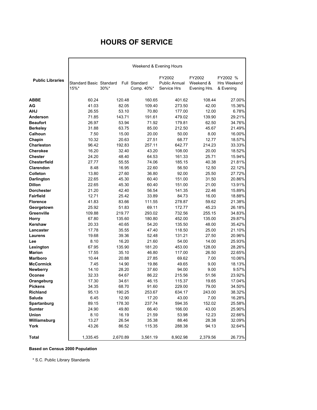# **HOURS OF SERVICE**

|                         |                                 |          | Weekend & Evening Hours     |                                        |                                     |                                      |
|-------------------------|---------------------------------|----------|-----------------------------|----------------------------------------|-------------------------------------|--------------------------------------|
| <b>Public Libraries</b> | Standard Basic Standard<br>15%* | $30\%$ * | Full Standard<br>Comp. 40%* | FY2002<br>Public Annual<br>Service Hrs | FY2002<br>Weekend &<br>Evening Hrs. | FY2002 %<br>Hrs Weekend<br>& Evening |
| <b>ABBE</b>             | 60.24                           | 120.48   | 160.65                      | 401.62                                 | 108.44                              | 27.00%                               |
| AG                      | 41.03                           | 82.05    | 109.40                      | 273.50                                 | 42.00                               | 15.36%                               |
| AHJ                     | 26.55                           | 53.10    | 70.80                       | 177.00                                 | 12.00                               | 6.78%                                |
| Anderson                | 71.85                           | 143.71   | 191.61                      | 479.02                                 | 139.90                              | 29.21%                               |
| <b>Beaufort</b>         | 26.97                           | 53.94    | 71.92                       | 179.81                                 | 62.50                               | 34.76%                               |
| <b>Berkeley</b>         | 31.88                           | 63.75    | 85.00                       | 212.50                                 | 45.67                               | 21.49%                               |
| Calhoun                 | 7.50                            | 15.00    | 20.00                       | 50.00                                  | 8.00                                | 16.00%                               |
| Chapin                  | 10.32                           | 20.63    | 27.51                       | 68.77                                  | 12.77                               | 18.57%                               |
| <b>Charleston</b>       | 96.42                           | 192.83   | 257.11                      | 642.77                                 | 214.23                              | 33.33%                               |
| <b>Cherokee</b>         | 16.20                           | 32.40    | 43.20                       | 108.00                                 | 20.00                               | 18.52%                               |
| <b>Chester</b>          | 24.20                           | 48.40    | 64.53                       | 161.33                                 | 25.71                               | 15.94%                               |
| <b>Chesterfield</b>     | 27.77                           | 55.55    | 74.06                       | 185.15                                 | 40.38                               | 21.81%                               |
| Clarendon               | 8.48                            | 16.95    | 22.60                       | 56.50                                  | 12.50                               | 22.12%                               |
| Colleton                | 13.80                           | 27.60    | 36.80                       | 92.00                                  | 25.50                               | 27.72%                               |
| <b>Darlington</b>       | 22.65                           | 45.30    | 60.40                       | 151.00                                 | 31.50                               | 20.86%                               |
| <b>Dillon</b>           | 22.65                           | 45.30    | 60.40                       | 151.00                                 | 21.00                               | 13.91%                               |
| <b>Dorchester</b>       | 21.20                           | 42.40    | 56.54                       | 141.35                                 | 22.46                               | 15.89%                               |
| <b>Fairfield</b>        | 12.71                           | 25.42    | 33.89                       | 84.73                                  | 16.00                               | 18.88%                               |
| <b>Florence</b>         | 41.83                           | 83.66    | 111.55                      | 278.87                                 | 59.62                               | 21.38%                               |
| Georgetown              | 25.92                           | 51.83    | 69.11                       | 172.77                                 | 45.23                               | 26.18%                               |
| Greenville              | 109.88                          | 219.77   | 293.02                      | 732.56                                 | 255.15                              | 34.83%                               |
| <b>Horry</b>            | 67.80                           | 135.60   | 180.80                      | 452.00                                 | 135.00                              | 29.87%                               |
| Kershaw                 | 20.33                           | 40.65    | 54.20                       | 135.50                                 | 48.00                               | 35.42%                               |
| Lancaster               | 17.78                           | 35.55    | 47.40                       | 118.50                                 | 25.00                               | 21.10%                               |
| <b>Laurens</b>          | 19.68                           | 39.36    | 52.48                       | 131.21                                 | 27.50                               | 20.96%                               |
| Lee                     | 8.10                            | 16.20    | 21.60                       | 54.00                                  | 14.00                               | 25.93%                               |
| Lexington               | 67.95                           | 135.90   | 181.20                      | 453.00                                 | 128.00                              | 28.26%                               |
| <b>Marion</b>           | 17.55                           | 35.10    | 46.80                       | 117.00                                 | 26.50                               | 22.65%                               |
| <b>Marlboro</b>         | 10.44                           | 20.88    | 27.85                       | 69.62                                  | 7.00                                | 10.06%                               |
| <b>McCormick</b>        | 7.45                            | 14.90    | 19.86                       | 49.65                                  | 9.00                                | 18.13%                               |
| <b>Newberry</b>         | 14.10                           | 28.20    | 37.60                       | 94.00                                  | 9.00                                | 9.57%                                |
| Oconee                  | 32.33                           | 64.67    | 86.22                       | 215.56                                 | 51.56                               | 23.92%                               |
| Orangeburg              | 17.30                           | 34.61    | 46.15                       | 115.37                                 | 19.65                               | 17.04%                               |
| <b>Pickens</b>          | 34.35                           | 68.70    | 91.60                       | 229.00                                 | 79.00                               | 34.50%                               |
| Richland                | 95.13                           | 190.25   | 253.67                      | 634.17                                 | 243.00                              | 38.32%                               |
| Saluda                  | 6.45                            | 12.90    | 17.20                       | 43.00                                  | 7.00                                | 16.28%                               |
| Spartanburg             | 89.15                           | 178.30   | 237.74                      | 594.35                                 | 152.02                              | 25.58%                               |
| <b>Sumter</b>           | 24.90                           | 49.80    | 66.40                       | 166.00                                 | 43.00                               | 25.90%                               |
| Union                   | 8.10                            | 16.19    | 21.59                       | 53.98                                  | 12.23                               | 22.66%                               |
| Williamsburg            | 13.27                           | 26.54    | 35.38                       | 88.46                                  | 28.38                               | 32.09%                               |
| York                    | 43.26                           | 86.52    | 115.35                      | 288.38                                 | 94.13                               | 32.64%                               |
| <b>Total</b>            | 1,335.45                        | 2,670.89 | 3,561.19                    | 8,902.98                               | 2,379.56                            | 26.73%                               |

#### **Based on Census 2000 Population**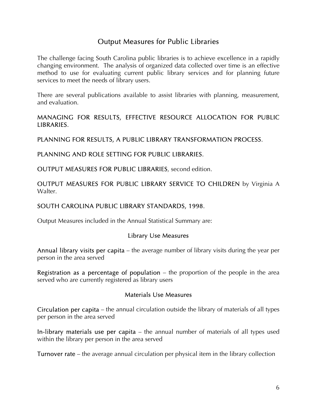# Output Measures for Public Libraries

The challenge facing South Carolina public libraries is to achieve excellence in a rapidly changing environment. The analysis of organized data collected over time is an effective method to use for evaluating current public library services and for planning future services to meet the needs of library users.

There are several publications available to assist libraries with planning, measurement, and evaluation.

# MANAGING FOR RESULTS, EFFECTIVE RESOURCE ALLOCATION FOR PUBLIC LIBRARIES.

PLANNING FOR RESULTS, A PUBLIC LIBRARY TRANSFORMATION PROCESS.

## PLANNING AND ROLE SETTING FOR PUBLIC LIBRARIES.

OUTPUT MEASURES FOR PUBLIC LIBRARIES, second edition.

OUTPUT MEASURES FOR PUBLIC LIBRARY SERVICE TO CHILDREN by Virginia A Walter.

# SOUTH CAROLINA PUBLIC LIBRARY STANDARDS, 1998.

Output Measures included in the Annual Statistical Summary are:

### Library Use Measures

Annual library visits per capita – the average number of library visits during the year per person in the area served

**Registration as a percentage of population** – the proportion of the people in the area served who are currently registered as library users

### Materials Use Measures

Circulation per capita – the annual circulation outside the library of materials of all types per person in the area served

In-library materials use per capita – the annual number of materials of all types used within the library per person in the area served

Turnover rate – the average annual circulation per physical item in the library collection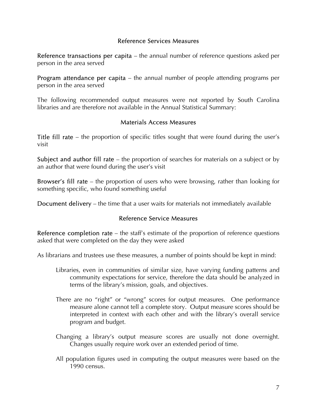# Reference Services Measures

Reference transactions per capita – the annual number of reference questions asked per person in the area served

Program attendance per capita – the annual number of people attending programs per person in the area served

The following recommended output measures were not reported by South Carolina libraries and are therefore not available in the Annual Statistical Summary:

### Materials Access Measures

Title fill rate – the proportion of specific titles sought that were found during the user's visit

Subject and author fill rate – the proportion of searches for materials on a subject or by an author that were found during the user's visit

Browser's fill rate – the proportion of users who were browsing, rather than looking for something specific, who found something useful

Document delivery – the time that a user waits for materials not immediately available

# Reference Service Measures

Reference completion rate  $-$  the staff's estimate of the proportion of reference questions asked that were completed on the day they were asked

As librarians and trustees use these measures, a number of points should be kept in mind:

- Libraries, even in communities of similar size, have varying funding patterns and community expectations for service, therefore the data should be analyzed in terms of the library's mission, goals, and objectives.
- There are no "right" or "wrong" scores for output measures. One performance measure alone cannot tell a complete story. Output measure scores should be interpreted in context with each other and with the library's overall service program and budget.
- Changing a library's output measure scores are usually not done overnight. Changes usually require work over an extended period of time.
- All population figures used in computing the output measures were based on the 1990 census.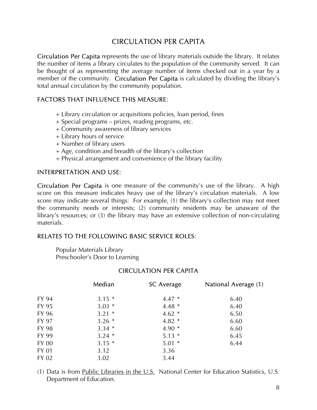# CIRCULATION PER CAPITA

Circulation Per Capita represents the use of library materials outside the library. It relates the number of items a library circulates to the population of the community served. It can be thought of as representing the average number of items checked out in a year by a member of the community. Circulation Per Capita is calculated by dividing the library's total annual circulation by the community population.

# FACTORS THAT INFLUENCE THIS MEASURE:

- + Library circulation or acquisitions policies, loan period, fines
- + Special programs prizes, reading programs, etc.
- + Community awareness of library services
- + Library hours of service
- + Number of library users
- + Age, condition and breadth of the library's collection
- + Physical arrangement and convenience of the library facility

# INTERPRETATION AND USE:

Circulation Per Capita is one measure of the community's use of the library. A high score on this measure indicates heavy use of the library's circulation materials. A low score may indicate several things: For example, (1) the library's collection may not meet the community needs or interests; (2) community residents may be unaware of the library's resources; or (3) the library may have an extensive collection of non-circulating materials.

# RELATES TO THE FOLLOWING BASIC SERVICE ROLES:

Popular Materials Library Preschooler's Door to Learning

# CIRCULATION PER CAPITA

|              | Median  | <b>SC</b> Average | National Average (1) |
|--------------|---------|-------------------|----------------------|
| FY 94        | $3.15*$ | $4.47*$           | 6.40                 |
| FY 95        | $3.03*$ | $4.48*$           | 6.40                 |
| FY 96        | $3.21*$ | $4.62*$           | 6.50                 |
| FY 97        | $3.26*$ | $4.82*$           | 6.60                 |
| FY 98        | $3.34*$ | $4.90*$           | 6.60                 |
| FY 99        | $3.24*$ | $5.13*$           | 6.45                 |
| FY 00        | $3.15*$ | $5.01*$           | 6.44                 |
| <b>FY 01</b> | 3.12    | 3.36              |                      |
| FY 02        | 3.02    | 3.44              |                      |

(1) Data is from Public Libraries in the  $U.S.$  National Center for Education Statistics, U.S. Department of Education.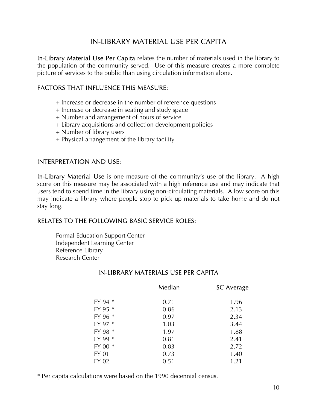# IN-LIBRARY MATERIAL USE PER CAPITA

In-Library Material Use Per Capita relates the number of materials used in the library to the population of the community served. Use of this measure creates a more complete picture of services to the public than using circulation information alone.

# FACTORS THAT INFLUENCE THIS MEASURE:

- + Increase or decrease in the number of reference questions
- + Increase or decrease in seating and study space
- + Number and arrangement of hours of service
- + Library acquisitions and collection development policies
- + Number of library users
- + Physical arrangement of the library facility

# INTERPRETATION AND USE:

In-Library Material Use is one measure of the community's use of the library. A high score on this measure may be associated with a high reference use and may indicate that users tend to spend time in the library using non-circulating materials. A low score on this may indicate a library where people stop to pick up materials to take home and do not stay long.

# RELATES TO THE FOLLOWING BASIC SERVICE ROLES:

Formal Education Support Center Independent Learning Center Reference Library Research Center

# IN-LIBRARY MATERIALS USE PER CAPITA

|              | Median | <b>SC Average</b> |
|--------------|--------|-------------------|
| FY 94 *      | 0.71   | 1.96              |
| FY 95 *      | 0.86   | 2.13              |
| FY 96 *      | 0.97   | 2.34              |
| FY 97 *      | 1.03   | 3.44              |
| FY 98 *      | 1.97   | 1.88              |
| FY 99 *      | 0.81   | 2.41              |
| FY 00 *      | 0.83   | 2.72              |
| <b>FY 01</b> | 0.73   | 1.40              |
| FY 02        | 0.51   | 1.21              |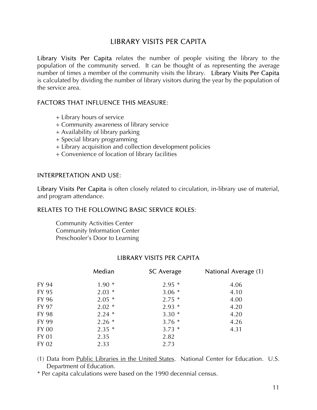# LIBRARY VISITS PER CAPITA

Library Visits Per Capita relates the number of people visiting the library to the population of the community served. It can be thought of as representing the average number of times a member of the community visits the library. Library Visits Per Capita is calculated by dividing the number of library visitors during the year by the population of the service area.

# FACTORS THAT INFLUENCE THIS MEASURE:

- + Library hours of service
- + Community awareness of library service
- + Availability of library parking
- + Special library programming
- + Library acquisition and collection development policies
- + Convenience of location of library facilities

# INTERPRETATION AND USE:

Library Visits Per Capita is often closely related to circulation, in-library use of material, and program attendance.

# RELATES TO THE FOLLOWING BASIC SERVICE ROLES:

Community Activities Center Community Information Center Preschooler's Door to Learning

# LIBRARY VISITS PER CAPITA

|       | Median  | <b>SC Average</b> | National Average (1) |
|-------|---------|-------------------|----------------------|
| FY 94 | $1.90*$ | $2.95*$           | 4.06                 |
| FY 95 | $2.03*$ | $3.06*$           | 4.10                 |
| FY 96 | $2.05*$ | $2.75*$           | 4.00                 |
| FY 97 | $2.02*$ | $2.93*$           | 4.20                 |
| FY 98 | $2.24*$ | $3.30*$           | 4.20                 |
| FY 99 | $2.26*$ | $3.76*$           | 4.26                 |
| FY 00 | $2.35*$ | $3.73*$           | 4.31                 |
| FY 01 | 2.35    | 2.82              |                      |
| FY 02 | 2.33    | 2.73              |                      |

(1) Data from Public Libraries in the United States. National Center for Education. U.S. Department of Education.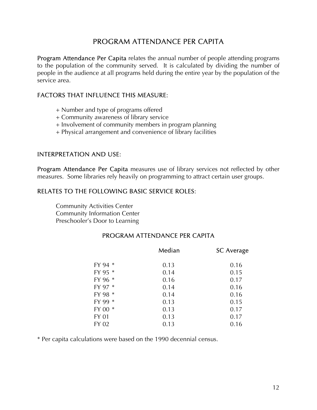# PROGRAM ATTENDANCE PER CAPITA

Program Attendance Per Capita relates the annual number of people attending programs to the population of the community served. It is calculated by dividing the number of people in the audience at all programs held during the entire year by the population of the service area.

# FACTORS THAT INFLUENCE THIS MEASURE:

- + Number and type of programs offered
- + Community awareness of library service
- + Involvement of community members in program planning
- + Physical arrangement and convenience of library facilities

### INTERPRETATION AND USE:

Program Attendance Per Capita measures use of library services not reflected by other measures. Some libraries rely heavily on programming to attract certain user groups.

## RELATES TO THE FOLLOWING BASIC SERVICE ROLES:

Community Activities Center Community Information Center Preschooler's Door to Learning

# PROGRAM ATTENDANCE PER CAPITA

|              | Median | <b>SC Average</b> |
|--------------|--------|-------------------|
| FY 94 *      | 0.13   | 0.16              |
| FY 95 *      | 0.14   | 0.15              |
| FY 96 *      | 0.16   | 0.17              |
| FY 97 *      | 0.14   | 0.16              |
| FY 98 *      | 0.14   | 0.16              |
| FY 99 *      | 0.13   | 0.15              |
| FY 00 *      | 0.13   | 0.17              |
| <b>FY 01</b> | 0.13   | 0.17              |
| FY 02        | 0.13   | 0.16              |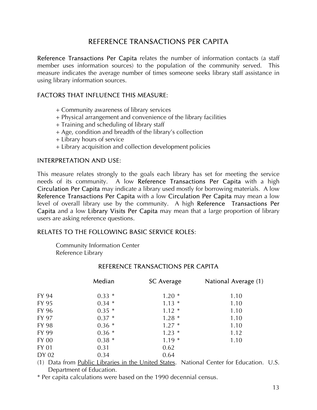# REFERENCE TRANSACTIONS PER CAPITA

Reference Transactions Per Capita relates the number of information contacts (a staff member uses information sources) to the population of the community served. This measure indicates the average number of times someone seeks library staff assistance in using library information sources.

# FACTORS THAT INFLUENCE THIS MEASURE:

- + Community awareness of library services
- + Physical arrangement and convenience of the library facilities
- + Training and scheduling of library staff
- + Age, condition and breadth of the library's collection
- + Library hours of service
- + Library acquisition and collection development policies

# INTERPRETATION AND USE:

This measure relates strongly to the goals each library has set for meeting the service needs of its community. A low Reference Transactions Per Capita with a high Circulation Per Capita may indicate a library used mostly for borrowing materials. A low Reference Transactions Per Capita with a low Circulation Per Capita may mean a low level of overall library use by the community. A high Reference Transactions Per Capita and a low Library Visits Per Capita may mean that a large proportion of library users are asking reference questions.

# RELATES TO THE FOLLOWING BASIC SERVICE ROLES:

Community Information Center Reference Library

|       | Median  | <b>SC</b> Average | National Average (1) |
|-------|---------|-------------------|----------------------|
| FY 94 | $0.33*$ | $1.20*$           | 1.10                 |
| FY 95 | $0.34*$ | $1.13*$           | 1.10                 |
| FY 96 | $0.35*$ | $1.12*$           | 1.10                 |
| FY 97 | $0.37*$ | $1.28*$           | 1.10                 |
| FY 98 | $0.36*$ | $1.27*$           | 1.10                 |
| FY 99 | $0.36*$ | $1.23*$           | 1.12                 |
| FY 00 | $0.38*$ | $1.19*$           | 1.10                 |
| FY 01 | 0.31    | 0.62              |                      |
| DY 02 | 0.34    | 0.64              |                      |

### REFERENCE TRANSACTIONS PER CAPITA

(1) Data from Public Libraries in the United States. National Center for Education. U.S. Department of Education.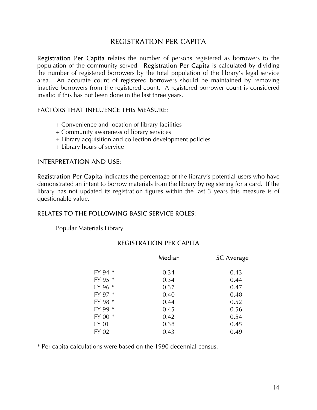# REGISTRATION PER CAPITA

Registration Per Capita relates the number of persons registered as borrowers to the population of the community served. Registration Per Capita is calculated by dividing the number of registered borrowers by the total population of the library's legal service area. An accurate count of registered borrowers should be maintained by removing inactive borrowers from the registered count. A registered borrower count is considered invalid if this has not been done in the last three years.

# FACTORS THAT INFLUENCE THIS MEASURE:

- + Convenience and location of library facilities
- + Community awareness of library services
- + Library acquisition and collection development policies
- + Library hours of service

### INTERPRETATION AND USE:

Registration Per Capita indicates the percentage of the library's potential users who have demonstrated an intent to borrow materials from the library by registering for a card. If the library has not updated its registration figures within the last 3 years this measure is of questionable value.

# RELATES TO THE FOLLOWING BASIC SERVICE ROLES:

Popular Materials Library

## REGISTRATION PER CAPITA

| Median | <b>SC Average</b> |
|--------|-------------------|
| 0.34   | 0.43              |
| 0.34   | 0.44              |
| 0.37   | 0.47              |
| 0.40   | 0.48              |
| 0.44   | 0.52              |
| 0.45   | 0.56              |
| 0.42   | 0.54              |
| 0.38   | 0.45              |
| 0.43   | 0.49              |
|        |                   |